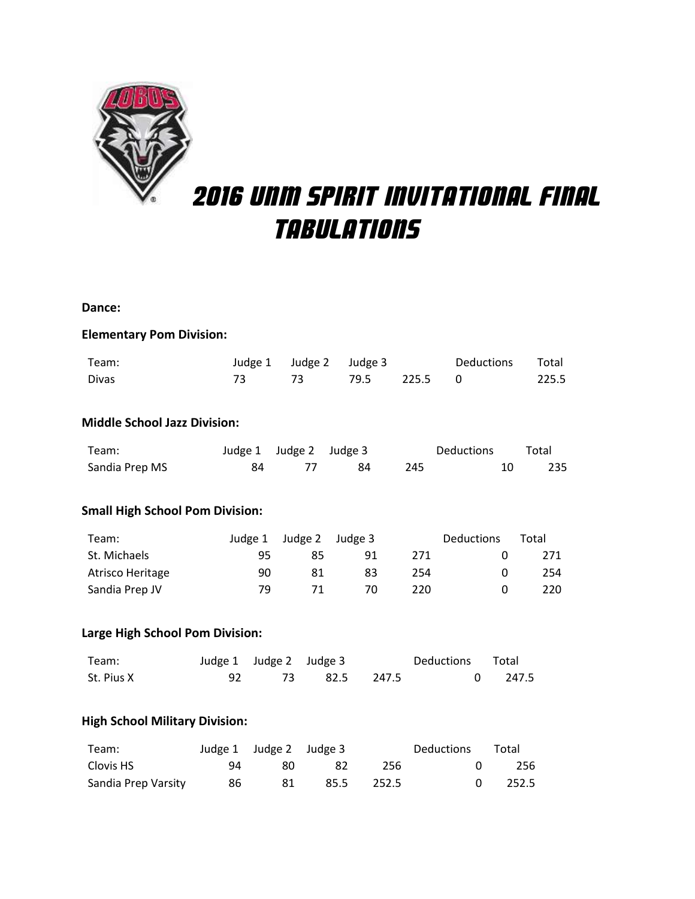

# 2016 unm spirit invitational final tabulations

#### **Dance:**

### **Elementary Pom Division:**

| Team:        | Judge 1 Judge 2 Judge 3 |  | Deductions Total |       |
|--------------|-------------------------|--|------------------|-------|
| <b>Divas</b> | 73 79.5 225.5 0         |  |                  | 225.5 |

#### **Middle School Jazz Division:**

| Team:          | Judge 1 Judge 2 Judge 3 |    |       | Deductions | Total |
|----------------|-------------------------|----|-------|------------|-------|
| Sandia Prep MS |                         | 84 | - 245 |            | 235   |

## **Small High School Pom Division:**

| Team:            |     | Judge 1 Judge 2 Judge 3 |    |     | <b>Deductions</b> | Total |
|------------------|-----|-------------------------|----|-----|-------------------|-------|
| St. Michaels     | 95. | 85                      | 91 | 271 |                   | 271   |
| Atrisco Heritage | 90  | 81                      | 83 | 254 |                   | 254   |
| Sandia Prep JV   | 79  | 71                      | 70 | 220 |                   | 220   |

## **Large High School Pom Division:**

| Team:      | Judge 1 Judge 2 Judge 3 |                  | Deductions Total |         |
|------------|-------------------------|------------------|------------------|---------|
| St. Pius X |                         | 92 73 82.5 247.5 |                  | 0 247.5 |

#### **High School Military Division:**

| Team:               |     | Judge 1 Judge 2 Judge 3 |     |            | Deductions Total |                 |
|---------------------|-----|-------------------------|-----|------------|------------------|-----------------|
| Clovis HS           | 94. | 80.                     | -82 | -256       |                  | -256            |
| Sandia Prep Varsity | 86  | 81.                     |     | 85.5 252.5 |                  | $0\qquad 252.5$ |